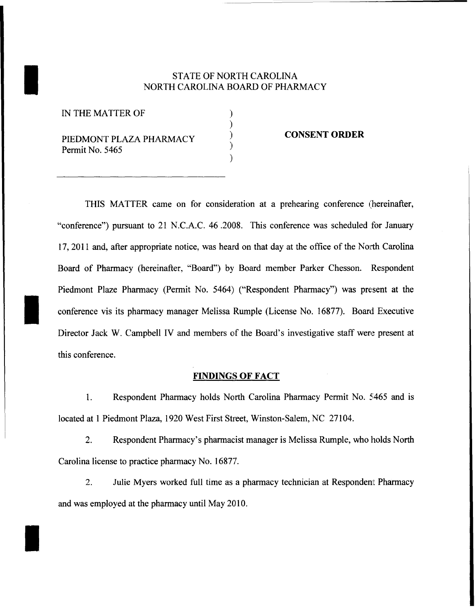## STATE OF NORTH CAROLINA<br>NORTH CAROLINA BOARD OF PHAR NORTH CAROLINA BOARD OF PHARMACY

) ) ) ) )

IN THE MATTER OF

I

PIEDMONT PLAZA PHARMACY Permit No. 5465

### **CONSENT ORDER**

THIS MATTER came on for consideration at a prehearing conference (hereinafter, "conference") pursuant to 21 N.C.A.C. 46.2008. This conference was scheduled for January 17,2011 and, after appropriate notice, was heard on that day at the office of the North Carolina Board of Pharmacy (hereinafter, "Board") by Board member Parker Chesson. Respondent Piedmont Plaze Pharmacy (Permit No. 5464) ("Respondent Pharmacy") was present at the conference vis its pharmacy manager Melissa Rumple (License No. 16877). Board Executive Director Jack W. Campbell IV and members of the Board's investigative staff were present at this conference.

### **FINDINGS OF FACT**

1. Respondent Pharmacy holds North Carolina Pharmacy Permit No. 5465 and is located at 1 Piedmont Plaza, 1920 West First Street, Winston-Salem, NC 27104.

2. Respondent Pharmacy's pharmacist manager is Melissa Rumple, who holds North Carolina license to practice pharmacy No. 16877.

2. Julie Myers worked full time as a pharmacy technician at Respondent Pharmacy and was employed at the pharmacy until May 2010.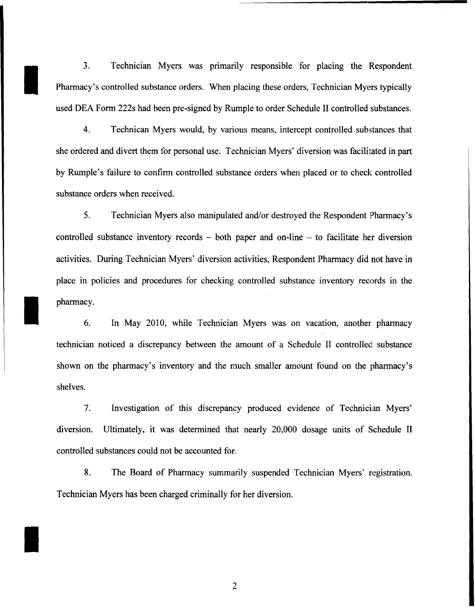3. Technician Myers was primarily responsible for placing the Respondent Pharmacy's controlled substance orders. When placing these orders, Technician Myers typically used DEA Form 222s had been pre-signed by Rumple to order Schedule II controlled substances.

I

I

I

4. Technican Myers would, by various means, intercept controlled substances that she ordered and divert them for personal use. Technician Myers' diversion was facilitated in part by Rumple's failure to confirm controlled substance orders when placed or to check controlled substance orders when received.

5. Technician Myers also manipulated and/or destroyed the Respondent Pharmacy's controlled substance inventory records - both paper and on-line - to facilitate her diversion activities. During Technician Myers' diversion activities, Respondent Pharmacy did not have in place in policies and procedures for checking controlled substance inventory records in the pharmacy.

6. In May 2010, while Technician Myers was on vacation, another pharmacy technician noticed a discrepancy between the amount of a Schedule II controlled substance shown on the pharmacy's inventory and the much smaller amount found on the pharmacy's shelves.

7. Investigation of this discrepancy produced evidence of Technician Myers' diversion. Ultimately, it was determined that nearly 20,000 dosage units of Schedule II controlled substances could not be accounted for.

8. The Board of Pharmacy summarily suspended Technician Myers' registration. Technician Myers has been charged criminally for her diversion.

2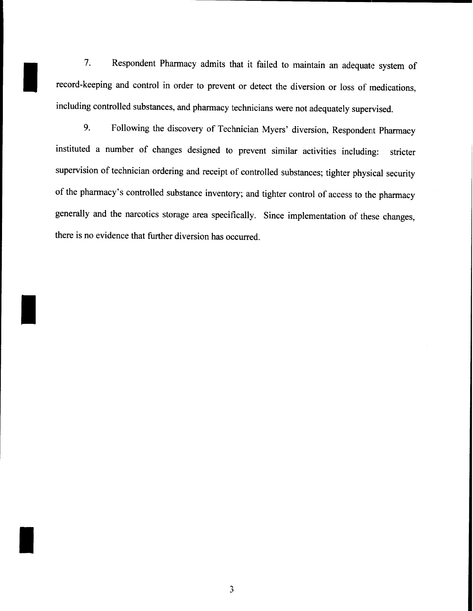7. Respondent Pharmacy admits that it failed to maintain an adequate system of record-keeping and control in order to prevent or detect the diversion or loss of medications, including controlled substances, and pharmacy technicians were not adequately supervised.

I

I

I

9. Following the discovery of Technician Myers' diversion, Respondent Pharmacy instituted a number of changes designed to prevent similar activities including: stricter supervision of technician ordering and receipt of controlled substances; tighter physical security of the pharmacy's controlled substance inventory; and tighter control of access to the pharmacy generally and the narcotics storage area specifically. Since implementation of these changes, there is no evidence that further diversion has occurred.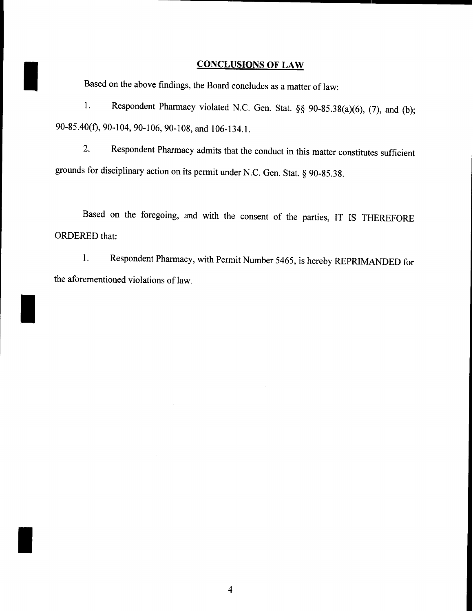### **CONCLUSIONS OF LAW**

Based on the above findings, the Board concludes as a matter of law:

I

I

I

1. Respondent Pharmacy violated N.C. Gen. Stat. §§ 90-85.38(a)(6), (7), and (b); 90-85.40(t), 90-104, 90-106, 90-108, and 106-134.1.

2. Respondent Pharmacy admits that the conduct in this matter constitutes sufficient grounds for disciplinary action on its permit under N.C. Gen. Stat. § 90-85.38.

Based on the foregoing, and with the consent of the parties, IT IS THEREFORE ORDERED that:

1. Respondent Pharmacy, with Permit Number 5465, is hereby REPRIMANDED for the aforementioned violations of law.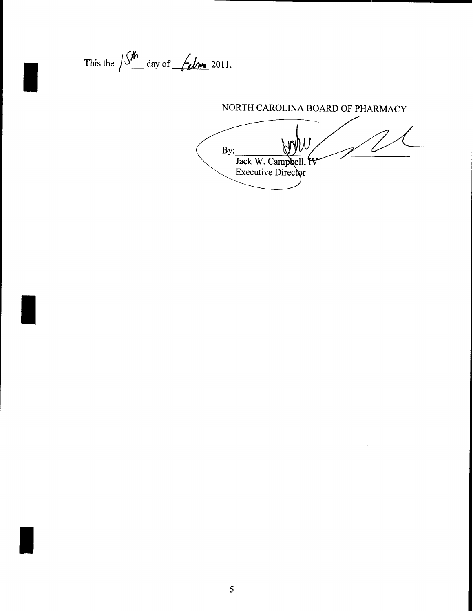This the  $\frac{\int \int h}{\int h}$  day of  $\frac{\int f}{\int h}$  2011.

# NORTH CAROLINA BOARD OF PHARMACY  $By:$

Jack W. Campbell, IV<br>Executive Director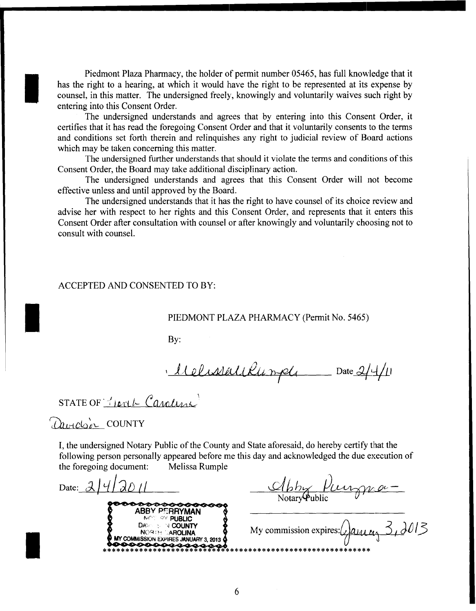Piedmont Plaza Pharmacy, the holder of permit number 05465, has full knowledge that it has the right to a hearing, at which it would have the right to be represented at its expense by counsel, in this matter. The undersigned freely, knowingly and voluntarily waives such right by entering into this Consent Order.

The undersigned understands and agrees that by entering into this Consent Order, it certifies that it has read the foregoing Consent Order and that it voluntarily consents to the tenns and conditions set forth therein and relinquishes any right to judicial review of Board actions which may be taken concerning this matter.

The undersigned further understands that should it violate the tenns and conditions ofthis Consent Order, the Board may take additional disciplinary action.

The undersigned understands and agrees that this Consent Order will not become effective unless and until approved by the Board.

The undersigned understands that it has the right to have counsel of its choice review and advise her with respect to her rights and this Consent Order, and represents that it enters this Consent Order after consultation with counsel or after knowingly and voluntarily choosing not to consult with counsel.

#### ACCEPTED AND CONSENTED TO BY:

### PIEDMONT PLAZA PHARMACY (Permit No. 5465)

By:

 $\cdot$  Ulelissatillanple Date 2/4/1

 $STATE OF$   $H$   $C$  and  $M$ 

Davidoir COUNTY

I

I

I

I, the undersigned Notary Public of the County and State aforesaid, do hereby certify that the following person personally appeared before me this day and acknowledged the due execution of the foregoing document: Melissa Rumple

Date:  $\lambda$ /*4*/ $\lambda$ *D* // **ABBY P':RRYMAN NOC OV PUBLIC DASSESSESSES**<br>
DREAD PERRYMAN<br>
DAM INCREDING My commission expires: 2 and  $\alpha_1$  3 and 13  $MY$  COMMISSION EXPIRES JANUARY 3, 2013  $\bigcirc$ \*\*\*\*\*\*\*\*\*\*\*\*\*\*\*\*\*\*\*\*\*\*\*\*\*"'\*\*\*\*\*\*\*\*\*\*\*\*\*\*\*\*\*\*\*\*\*\*\*\*\*\*\*\*\*\*\*\*\*